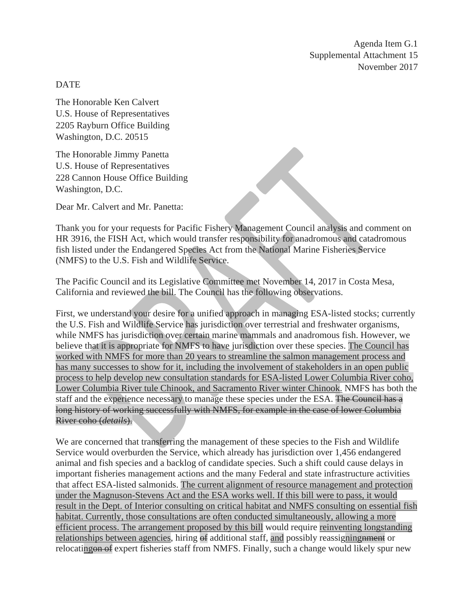Agenda Item G.1 Supplemental Attachment 15 November 2017

DATE

The Honorable Ken Calvert U.S. House of Representatives 2205 Rayburn Office Building Washington, D.C. 20515

The Honorable Jimmy Panetta U.S. House of Representatives 228 Cannon House Office Building Washington, D.C.

Dear Mr. Calvert and Mr. Panetta:

Thank you for your requests for Pacific Fishery Management Council analysis and comment on HR 3916, the FISH Act, which would transfer responsibility for anadromous and catadromous fish listed under the Endangered Species Act from the National Marine Fisheries Service (NMFS) to the U.S. Fish and Wildlife Service.

The Pacific Council and its Legislative Committee met November 14, 2017 in Costa Mesa, California and reviewed the bill. The Council has the following observations.

First, we understand your desire for a unified approach in managing ESA-listed stocks; currently the U.S. Fish and Wildlife Service has jurisdiction over terrestrial and freshwater organisms, while NMFS has jurisdiction over certain marine mammals and anadromous fish. However, we believe that it is appropriate for NMFS to have jurisdiction over these species. The Council has worked with NMFS for more than 20 years to streamline the salmon management process and has many successes to show for it, including the involvement of stakeholders in an open public process to help develop new consultation standards for ESA-listed Lower Columbia River coho, Lower Columbia River tule Chinook, and Sacramento River winter Chinook. NMFS has both the staff and the experience necessary to manage these species under the ESA. The Council has a long history of working successfully with NMFS, for example in the case of lower Columbia River coho (*details*).

We are concerned that transferring the management of these species to the Fish and Wildlife Service would overburden the Service, which already has jurisdiction over 1,456 endangered animal and fish species and a backlog of candidate species. Such a shift could cause delays in important fisheries management actions and the many Federal and state infrastructure activities that affect ESA-listed salmonids. The current alignment of resource management and protection under the Magnuson-Stevens Act and the ESA works well. If this bill were to pass, it would result in the Dept. of Interior consulting on critical habitat and NMFS consulting on essential fish habitat. Currently, those consultations are often conducted simultaneously, allowing a more efficient process. The arrangement proposed by this bill would require reinventing longstanding relationships between agencies, hiring of additional staff, and possibly reassigning negation relocating on of expert fisheries staff from NMFS. Finally, such a change would likely spur new